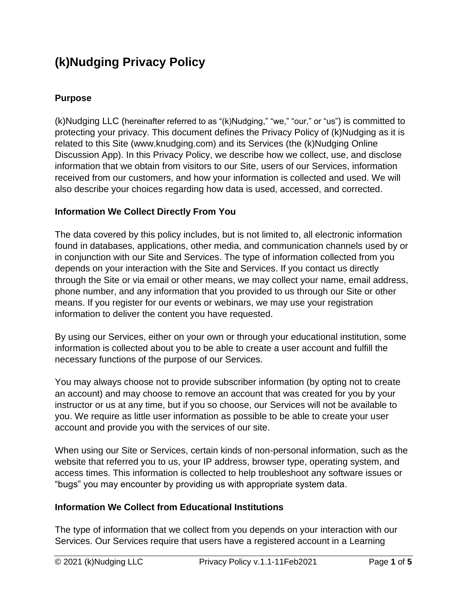# **(k)Nudging Privacy Policy**

#### **Purpose**

(k)Nudging LLC (hereinafter referred to as "(k)Nudging," "we," "our," or "us") is committed to protecting your privacy. This document defines the Privacy Policy of (k)Nudging as it is related to this Site (www.knudging.com) and its Services (the (k)Nudging Online Discussion App). In this Privacy Policy, we describe how we collect, use, and disclose information that we obtain from visitors to our Site, users of our Services, information received from our customers, and how your information is collected and used. We will also describe your choices regarding how data is used, accessed, and corrected.

#### **Information We Collect Directly From You**

The data covered by this policy includes, but is not limited to, all electronic information found in databases, applications, other media, and communication channels used by or in conjunction with our Site and Services. The type of information collected from you depends on your interaction with the Site and Services. If you contact us directly through the Site or via email or other means, we may collect your name, email address, phone number, and any information that you provided to us through our Site or other means. If you register for our events or webinars, we may use your registration information to deliver the content you have requested.

By using our Services, either on your own or through your educational institution, some information is collected about you to be able to create a user account and fulfill the necessary functions of the purpose of our Services.

You may always choose not to provide subscriber information (by opting not to create an account) and may choose to remove an account that was created for you by your instructor or us at any time, but if you so choose, our Services will not be available to you. We require as little user information as possible to be able to create your user account and provide you with the services of our site.

When using our Site or Services, certain kinds of non-personal information, such as the website that referred you to us, your IP address, browser type, operating system, and access times. This information is collected to help troubleshoot any software issues or "bugs" you may encounter by providing us with appropriate system data.

#### **Information We Collect from Educational Institutions**

The type of information that we collect from you depends on your interaction with our Services. Our Services require that users have a registered account in a Learning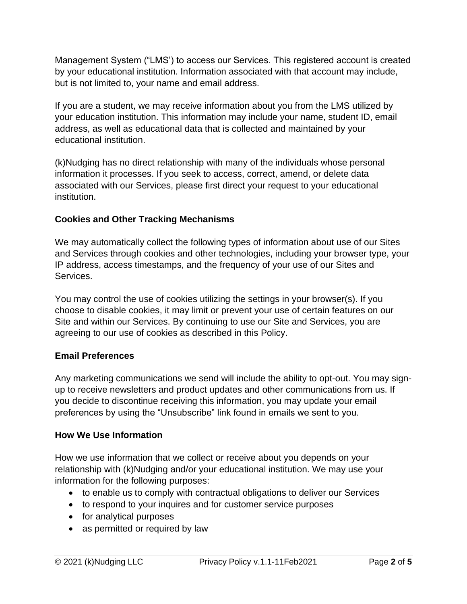Management System ("LMS') to access our Services. This registered account is created by your educational institution. Information associated with that account may include, but is not limited to, your name and email address.

If you are a student, we may receive information about you from the LMS utilized by your education institution. This information may include your name, student ID, email address, as well as educational data that is collected and maintained by your educational institution.

(k)Nudging has no direct relationship with many of the individuals whose personal information it processes. If you seek to access, correct, amend, or delete data associated with our Services, please first direct your request to your educational institution.

## **Cookies and Other Tracking Mechanisms**

We may automatically collect the following types of information about use of our Sites and Services through cookies and other technologies, including your browser type, your IP address, access timestamps, and the frequency of your use of our Sites and Services.

You may control the use of cookies utilizing the settings in your browser(s). If you choose to disable cookies, it may limit or prevent your use of certain features on our Site and within our Services. By continuing to use our Site and Services, you are agreeing to our use of cookies as described in this Policy.

#### **Email Preferences**

Any marketing communications we send will include the ability to opt-out. You may signup to receive newsletters and product updates and other communications from us. If you decide to discontinue receiving this information, you may update your email preferences by using the "Unsubscribe" link found in emails we sent to you.

#### **How We Use Information**

How we use information that we collect or receive about you depends on your relationship with (k)Nudging and/or your educational institution. We may use your information for the following purposes:

- to enable us to comply with contractual obligations to deliver our Services
- to respond to your inquires and for customer service purposes
- for analytical purposes
- as permitted or required by law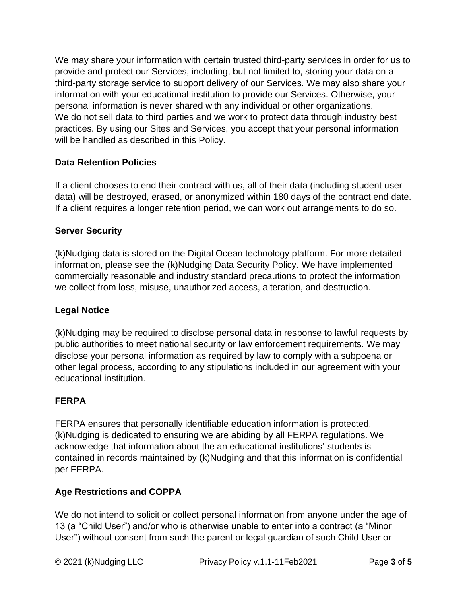We may share your information with certain trusted third-party services in order for us to provide and protect our Services, including, but not limited to, storing your data on a third-party storage service to support delivery of our Services. We may also share your information with your educational institution to provide our Services. Otherwise, your personal information is never shared with any individual or other organizations. We do not sell data to third parties and we work to protect data through industry best practices. By using our Sites and Services, you accept that your personal information will be handled as described in this Policy.

# **Data Retention Policies**

If a client chooses to end their contract with us, all of their data (including student user data) will be destroyed, erased, or anonymized within 180 days of the contract end date. If a client requires a longer retention period, we can work out arrangements to do so.

#### **Server Security**

(k)Nudging data is stored on the Digital Ocean technology platform. For more detailed information, please see the (k)Nudging Data Security Policy. We have implemented commercially reasonable and industry standard precautions to protect the information we collect from loss, misuse, unauthorized access, alteration, and destruction.

#### **Legal Notice**

(k)Nudging may be required to disclose personal data in response to lawful requests by public authorities to meet national security or law enforcement requirements. We may disclose your personal information as required by law to comply with a subpoena or other legal process, according to any stipulations included in our agreement with your educational institution.

#### **FERPA**

FERPA ensures that personally identifiable education information is protected. (k)Nudging is dedicated to ensuring we are abiding by all FERPA regulations. We acknowledge that information about the an educational institutions' students is contained in records maintained by (k)Nudging and that this information is confidential per FERPA.

# **Age Restrictions and COPPA**

We do not intend to solicit or collect personal information from anyone under the age of 13 (a "Child User") and/or who is otherwise unable to enter into a contract (a "Minor User") without consent from such the parent or legal guardian of such Child User or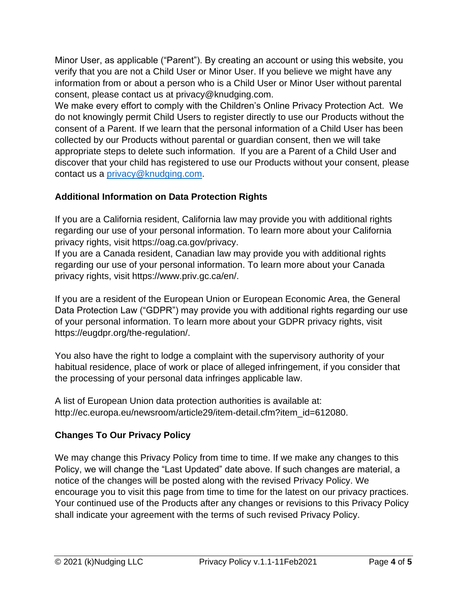Minor User, as applicable ("Parent"). By creating an account or using this website, you verify that you are not a Child User or Minor User. If you believe we might have any information from or about a person who is a Child User or Minor User without parental consent, please contact us at privacy@knudging.com.

We make every effort to comply with the Children's Online Privacy Protection Act. We do not knowingly permit Child Users to register directly to use our Products without the consent of a Parent. If we learn that the personal information of a Child User has been collected by our Products without parental or guardian consent, then we will take appropriate steps to delete such information. If you are a Parent of a Child User and discover that your child has registered to use our Products without your consent, please contact us a [privacy@knudging.com.](mailto:privacy@knudging.com)

## **Additional Information on Data Protection Rights**

If you are a California resident, California law may provide you with additional rights regarding our use of your personal information. To learn more about your California privacy rights, visit https://oag.ca.gov/privacy.

If you are a Canada resident, Canadian law may provide you with additional rights regarding our use of your personal information. To learn more about your Canada privacy rights, visit https://www.priv.gc.ca/en/.

If you are a resident of the European Union or European Economic Area, the General Data Protection Law ("GDPR") may provide you with additional rights regarding our use of your personal information. To learn more about your GDPR privacy rights, visit https://eugdpr.org/the-regulation/.

You also have the right to lodge a complaint with the supervisory authority of your habitual residence, place of work or place of alleged infringement, if you consider that the processing of your personal data infringes applicable law.

A list of European Union data protection authorities is available at: http://ec.europa.eu/newsroom/article29/item-detail.cfm?item\_id=612080.

#### **Changes To Our Privacy Policy**

We may change this Privacy Policy from time to time. If we make any changes to this Policy, we will change the "Last Updated" date above. If such changes are material, a notice of the changes will be posted along with the revised Privacy Policy. We encourage you to visit this page from time to time for the latest on our privacy practices. Your continued use of the Products after any changes or revisions to this Privacy Policy shall indicate your agreement with the terms of such revised Privacy Policy.